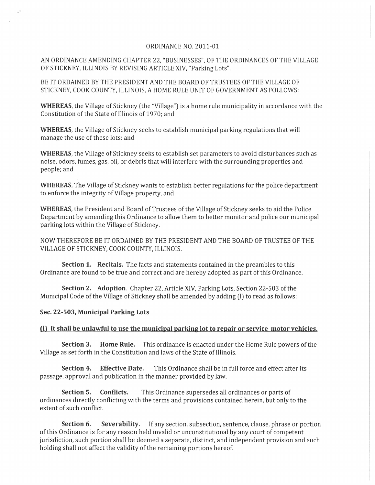## ORDINANCE NO. 2011-01

AN ORDINANCE AMENDING CHAPTER 22, "BUSINESSES", OF THE ORDINANCES OF THE VILLAGE OF STICKNEY, ILLINOIS BY REVISING ARTICLE XIV, "Parking Lots".

BE IT ORDAINED BY THE PRESIDENT AND THE BOARD OF TRUSTEES OF THE VILLAGE OF STICKNEY, COOK COUNTY, ILLINOIS, A HOME RULE UNIT OF GOVERNMENT AS FOLLOWS:

**WHEREAS,** the *Village* of Stickney (the *"Village")* is a home rule municipality in accordance with the Constitution of the State of Illinois of 1970; and

**WHEREAS,** the *Village* of Stickney seeks to establish municipal parking regulations that will manage the use of these lots; and

**WHEREAS,** the *Village* of Stickney seeks to establish set parameters to avoid disturbances such as noise, odors, fumes, gas, oil, or debris that will interfere with the surrounding properties and people; and

**WHEREAS,** The Village of Stickney wants to establish better regulations for the police department to enforce the integrity of *Village* property, and

**WHEREAS,** the President and Board of Trustees of the *Village* of Stickney seeks to aid the Police Department by amending this Ordinance to allow them to better monitor and police our municipal parking lots within the *Village* of Stickney.

NOW THEREFORE BE IT ORDAINED BY THE PRESIDENT AND THE BOARD OF TRUSTEE OF THE VILLAGE OF STICKNEY, COOK COUNTY, ILLINOIS.

**Section 1. Recitals.** The facts and statements contained in the preambles to this Ordinance are found to be true and correct and are hereby adopted as part of this Ordinance.

**Section 2. Adoption.** Chapter 22, Article XIV, Parking Lots, Section 22-503 of the Municipal Code of the *Village* of Stickney shall be amended by adding (I) to read as follows:

## **Sec. 22-503, Municipal Parking Lots**

## **(I) It shall be unlawful to use the municipal parkine lot to repair or service motor vehicles.**

**Section 3. Home Rule.** This ordinance is enacted under the Home Rule powers of the Village as set forth in the Constitution and laws of the State of Illinois.

**Section 4. Effective Date.** This Ordinance shall be in full force and effect after its passage, approval and publication in the manner provided by law.

**Section 5. Conflicts.** This Ordinance supersedes all ordinances or parts of ordinances directly conflicting with the terms and provisions contained herein, but only to the extent of such conflict.

**Section 6. Severability.** If any section, subsection, sentence, clause, phrase or portion of this Ordinance is for any reason held invalid or unconstitutional by any court of competent jurisdiction, such portion shall be deemed a separate, distinct, and independent provision and such holding shall not affect the validity of the remaining portions hereof.